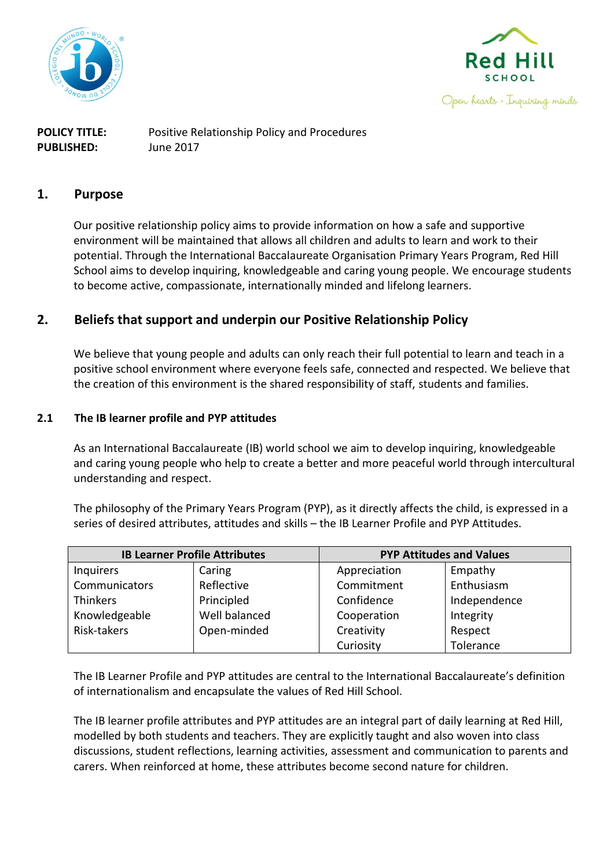



**POLICY TITLE:** Positive Relationship Policy and Procedures **PUBLISHED:** June 2017

### **1. Purpose**

Our positive relationship policy aims to provide information on how a safe and supportive environment will be maintained that allows all children and adults to learn and work to their potential. Through the International Baccalaureate Organisation Primary Years Program, Red Hill School aims to develop inquiring, knowledgeable and caring young people. We encourage students to become active, compassionate, internationally minded and lifelong learners.

## **2. Beliefs that support and underpin our Positive Relationship Policy**

We believe that young people and adults can only reach their full potential to learn and teach in a positive school environment where everyone feels safe, connected and respected. We believe that the creation of this environment is the shared responsibility of staff, students and families.

#### **2.1 The IB learner profile and PYP attitudes**

As an International Baccalaureate (IB) world school we aim to develop inquiring, knowledgeable and caring young people who help to create a better and more peaceful world through intercultural understanding and respect.

The philosophy of the Primary Years Program (PYP), as it directly affects the child, is expressed in a series of desired attributes, attitudes and skills – the IB Learner Profile and PYP Attitudes.

| <b>IB Learner Profile Attributes</b> |               | <b>PYP Attitudes and Values</b> |              |  |
|--------------------------------------|---------------|---------------------------------|--------------|--|
| <b>Inquirers</b>                     | Caring        | Appreciation                    | Empathy      |  |
| Communicators                        | Reflective    | Commitment                      | Enthusiasm   |  |
| <b>Thinkers</b>                      | Principled    | Confidence                      | Independence |  |
| Knowledgeable                        | Well balanced | Cooperation                     | Integrity    |  |
| Risk-takers                          | Open-minded   | Creativity                      | Respect      |  |
|                                      |               | Curiosity                       | Tolerance    |  |

The IB Learner Profile and PYP attitudes are central to the International Baccalaureate's definition of internationalism and encapsulate the values of Red Hill School.

The IB learner profile attributes and PYP attitudes are an integral part of daily learning at Red Hill, modelled by both students and teachers. They are explicitly taught and also woven into class discussions, student reflections, learning activities, assessment and communication to parents and carers. When reinforced at home, these attributes become second nature for children.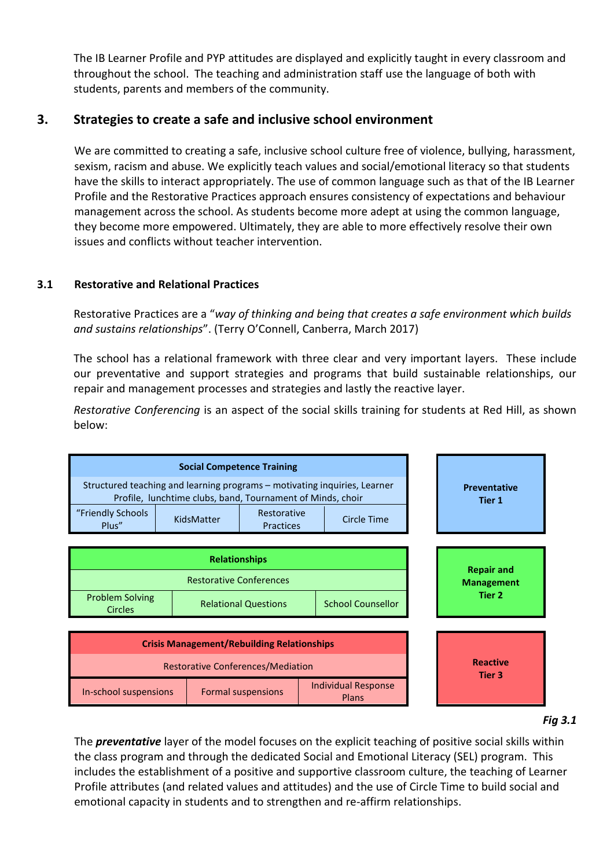The IB Learner Profile and PYP attitudes are displayed and explicitly taught in every classroom and throughout the school. The teaching and administration staff use the language of both with students, parents and members of the community.

## **3. Strategies to create a safe and inclusive school environment**

We are committed to creating a safe, inclusive school culture free of violence, bullying, harassment, sexism, racism and abuse. We explicitly teach values and social/emotional literacy so that students have the skills to interact appropriately. The use of common language such as that of the IB Learner Profile and the Restorative Practices approach ensures consistency of expectations and behaviour management across the school. As students become more adept at using the common language, they become more empowered. Ultimately, they are able to more effectively resolve their own issues and conflicts without teacher intervention.

#### **3.1 Restorative and Relational Practices**

Restorative Practices are a "*way of thinking and being that creates a safe environment which builds and sustains relationships*". (Terry O'Connell, Canberra, March 2017)

The school has a relational framework with three clear and very important layers. These include our preventative and support strategies and programs that build sustainable relationships, our repair and management processes and strategies and lastly the reactive layer.

*Restorative Conferencing* is an aspect of the social skills training for students at Red Hill, as shown below:



*Fig 3.1*

The *preventative* layer of the model focuses on the explicit teaching of positive social skills within the class program and through the dedicated Social and Emotional Literacy (SEL) program. This includes the establishment of a positive and supportive classroom culture, the teaching of Learner Profile attributes (and related values and attitudes) and the use of Circle Time to build social and emotional capacity in students and to strengthen and re-affirm relationships.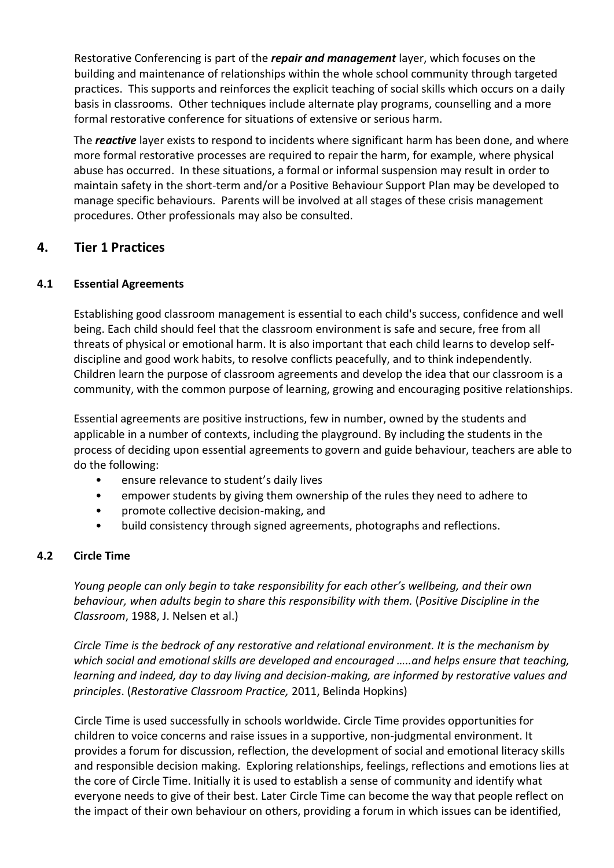Restorative Conferencing is part of the *repair and management* layer, which focuses on the building and maintenance of relationships within the whole school community through targeted practices. This supports and reinforces the explicit teaching of social skills which occurs on a daily basis in classrooms. Other techniques include alternate play programs, counselling and a more formal restorative conference for situations of extensive or serious harm.

The *reactive* layer exists to respond to incidents where significant harm has been done, and where more formal restorative processes are required to repair the harm, for example, where physical abuse has occurred. In these situations, a formal or informal suspension may result in order to maintain safety in the short-term and/or a Positive Behaviour Support Plan may be developed to manage specific behaviours. Parents will be involved at all stages of these crisis management procedures. Other professionals may also be consulted.

## **4. Tier 1 Practices**

## **4.1 Essential Agreements**

Establishing good classroom management is essential to each child's success, confidence and well being. Each child should feel that the classroom environment is safe and secure, free from all threats of physical or emotional harm. It is also important that each child learns to develop selfdiscipline and good work habits, to resolve conflicts peacefully, and to think independently. Children learn the purpose of classroom agreements and develop the idea that our classroom is a community, with the common purpose of learning, growing and encouraging positive relationships.

Essential agreements are positive instructions, few in number, owned by the students and applicable in a number of contexts, including the playground. By including the students in the process of deciding upon essential agreements to govern and guide behaviour, teachers are able to do the following:

- ensure relevance to student's daily lives
- empower students by giving them ownership of the rules they need to adhere to
- promote collective decision-making, and
- build consistency through signed agreements, photographs and reflections.

#### **4.2 Circle Time**

*Young people can only begin to take responsibility for each other's wellbeing, and their own behaviour, when adults begin to share this responsibility with them.* (*Positive Discipline in the Classroom*, 1988, J. Nelsen et al.)

*Circle Time is the bedrock of any restorative and relational environment. It is the mechanism by which social and emotional skills are developed and encouraged …..and helps ensure that teaching, learning and indeed, day to day living and decision-making, are informed by restorative values and principles*. (*Restorative Classroom Practice,* 2011, Belinda Hopkins)

Circle Time is used successfully in schools worldwide. Circle Time provides opportunities for children to voice concerns and raise issues in a supportive, non-judgmental environment. It provides a forum for discussion, reflection, the development of social and emotional literacy skills and responsible decision making. Exploring relationships, feelings, reflections and emotions lies at the core of Circle Time. Initially it is used to establish a sense of community and identify what everyone needs to give of their best. Later Circle Time can become the way that people reflect on the impact of their own behaviour on others, providing a forum in which issues can be identified,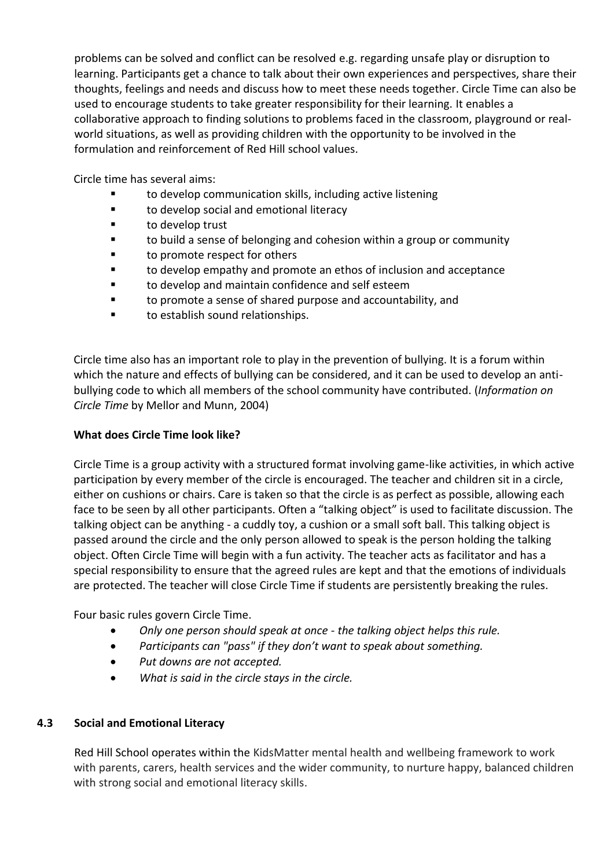problems can be solved and conflict can be resolved e.g. regarding unsafe play or disruption to learning. Participants get a chance to talk about their own experiences and perspectives, share their thoughts, feelings and needs and discuss how to meet these needs together. Circle Time can also be used to encourage students to take greater responsibility for their learning. It enables a collaborative approach to finding solutions to problems faced in the classroom, playground or realworld situations, as well as providing children with the opportunity to be involved in the formulation and reinforcement of Red Hill school values.

Circle time has several aims:

- to develop communication skills, including active listening
- to develop social and emotional literacy
- to develop trust
- to build a sense of belonging and cohesion within a group or community
- to promote respect for others
- to develop empathy and promote an ethos of inclusion and acceptance
- to develop and maintain confidence and self esteem
- to promote a sense of shared purpose and accountability, and
- to establish sound relationships.

Circle time also has an important role to play in the prevention of bullying. It is a forum within which the nature and effects of bullying can be considered, and it can be used to develop an antibullying code to which all members of the school community have contributed. (*Information on Circle Time* by Mellor and Munn, 2004)

#### **What does Circle Time look like?**

Circle Time is a group activity with a structured format involving game-like activities, in which active participation by every member of the circle is encouraged. The teacher and children sit in a circle, either on cushions or chairs. Care is taken so that the circle is as perfect as possible, allowing each face to be seen by all other participants. Often a "talking object" is used to facilitate discussion. The talking object can be anything - a cuddly toy, a cushion or a small soft ball. This talking object is passed around the circle and the only person allowed to speak is the person holding the talking object. Often Circle Time will begin with a fun activity. The teacher acts as facilitator and has a special responsibility to ensure that the agreed rules are kept and that the emotions of individuals are protected. The teacher will close Circle Time if students are persistently breaking the rules.

Four basic rules govern Circle Time.

- *Only one person should speak at once - the talking object helps this rule.*
- *Participants can "pass" if they don't want to speak about something.*
- *Put downs are not accepted.*
- *What is said in the circle stays in the circle.*

#### **4.3 Social and Emotional Literacy**

Red Hill School operates within the KidsMatter mental health and wellbeing framework to work with parents, carers, health services and the wider community, to nurture happy, balanced children with strong social and emotional literacy skills.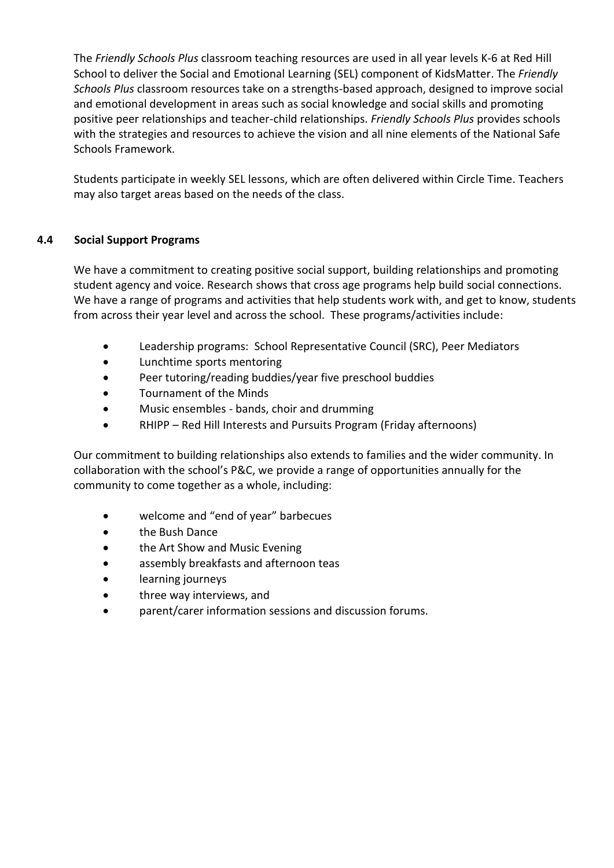The *Friendly Schools Plus* classroom teaching resources are used in all year levels K-6 at Red Hill School to deliver the Social and Emotional Learning (SEL) component of KidsMatter. The *Friendly Schools Plus* classroom resources take on a strengths-based approach, designed to improve social and emotional development in areas such as social knowledge and social skills and promoting positive peer relationships and teacher-child relationships. *Friendly Schools Plus* provides schools with the strategies and resources to achieve the vision and all nine elements of the National Safe Schools Framework.

Students participate in weekly SEL lessons, which are often delivered within Circle Time. Teachers may also target areas based on the needs of the class.

## **4.4 Social Support Programs**

We have a commitment to creating positive social support, building relationships and promoting student agency and voice. Research shows that cross age programs help build social connections. We have a range of programs and activities that help students work with, and get to know, students from across their year level and across the school. These programs/activities include:

- Leadership programs: School Representative Council (SRC), Peer Mediators
- Lunchtime sports mentoring
- Peer tutoring/reading buddies/year five preschool buddies
- Tournament of the Minds
- Music ensembles bands, choir and drumming
- RHIPP Red Hill Interests and Pursuits Program (Friday afternoons)

Our commitment to building relationships also extends to families and the wider community. In collaboration with the school's P&C, we provide a range of opportunities annually for the community to come together as a whole, including:

- welcome and "end of year" barbecues
- the Bush Dance
- the Art Show and Music Evening
- assembly breakfasts and afternoon teas
- learning journeys
- three way interviews, and
- parent/carer information sessions and discussion forums.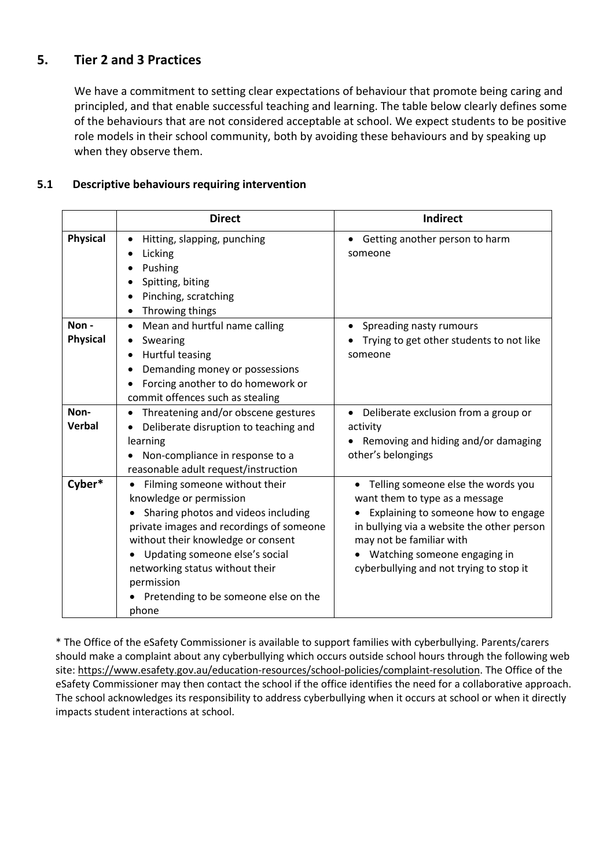# **5. Tier 2 and 3 Practices**

We have a commitment to setting clear expectations of behaviour that promote being caring and principled, and that enable successful teaching and learning. The table below clearly defines some of the behaviours that are not considered acceptable at school. We expect students to be positive role models in their school community, both by avoiding these behaviours and by speaking up when they observe them.

## **5.1 Descriptive behaviours requiring intervention**

|                         | <b>Direct</b>                                                                                                                                                                                                                                                                                                         | <b>Indirect</b>                                                                                                                                                                                                                                                       |
|-------------------------|-----------------------------------------------------------------------------------------------------------------------------------------------------------------------------------------------------------------------------------------------------------------------------------------------------------------------|-----------------------------------------------------------------------------------------------------------------------------------------------------------------------------------------------------------------------------------------------------------------------|
| <b>Physical</b>         | Hitting, slapping, punching<br>Licking<br>Pushing<br>Spitting, biting<br>Pinching, scratching<br>Throwing things                                                                                                                                                                                                      | Getting another person to harm<br>someone                                                                                                                                                                                                                             |
| Non-<br><b>Physical</b> | Mean and hurtful name calling<br>$\bullet$<br>Swearing<br>Hurtful teasing<br>Demanding money or possessions<br>Forcing another to do homework or<br>commit offences such as stealing                                                                                                                                  | Spreading nasty rumours<br>Trying to get other students to not like<br>someone                                                                                                                                                                                        |
| Non-<br><b>Verbal</b>   | Threatening and/or obscene gestures<br>٠<br>Deliberate disruption to teaching and<br>learning<br>Non-compliance in response to a<br>reasonable adult request/instruction                                                                                                                                              | Deliberate exclusion from a group or<br>$\bullet$<br>activity<br>Removing and hiding and/or damaging<br>other's belongings                                                                                                                                            |
| Cyber*                  | Filming someone without their<br>knowledge or permission<br>Sharing photos and videos including<br>private images and recordings of someone<br>without their knowledge or consent<br>Updating someone else's social<br>networking status without their<br>permission<br>Pretending to be someone else on the<br>phone | Telling someone else the words you<br>٠<br>want them to type as a message<br>Explaining to someone how to engage<br>in bullying via a website the other person<br>may not be familiar with<br>Watching someone engaging in<br>cyberbullying and not trying to stop it |

\* The Office of the eSafety Commissioner is available to support families with cyberbullying. Parents/carers should make a complaint about any cyberbullying which occurs outside school hours through the following web site[: https://www.esafety.gov.au/education-resources/school-policies/complaint-resolution.](https://www.esafety.gov.au/education-resources/school-policies/complaint-resolution) The Office of the eSafety Commissioner may then contact the school if the office identifies the need for a collaborative approach. The school acknowledges its responsibility to address cyberbullying when it occurs at school or when it directly impacts student interactions at school.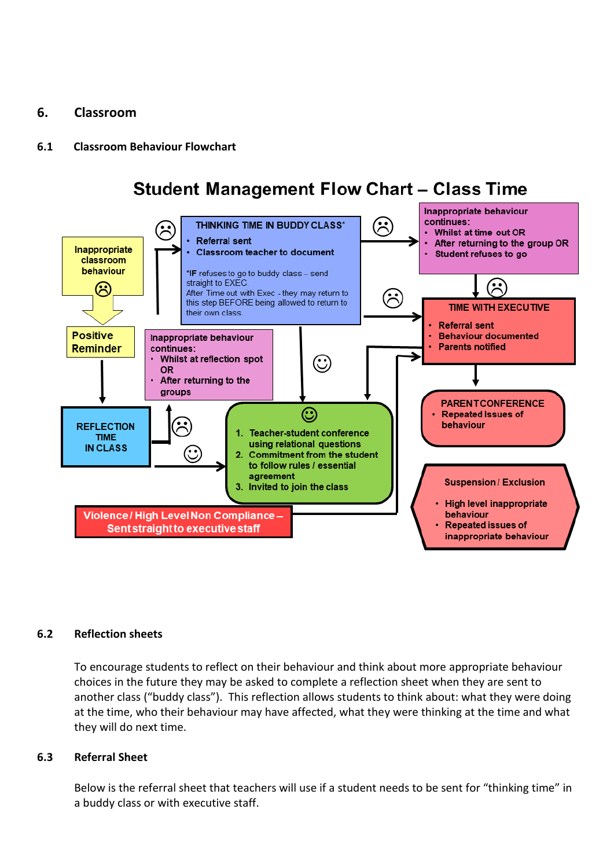## **6. Classroom**

### **6.1 Classroom Behaviour Flowchart**

# **Student Management Flow Chart - Class Time**



#### **6.2 Reflection sheets**

To encourage students to reflect on their behaviour and think about more appropriate behaviour choices in the future they may be asked to complete a reflection sheet when they are sent to another class ("buddy class"). This reflection allows students to think about: what they were doing at the time, who their behaviour may have affected, what they were thinking at the time and what they will do next time.

#### **6.3 Referral Sheet**

Below is the referral sheet that teachers will use if a student needs to be sent for "thinking time" in a buddy class or with executive staff.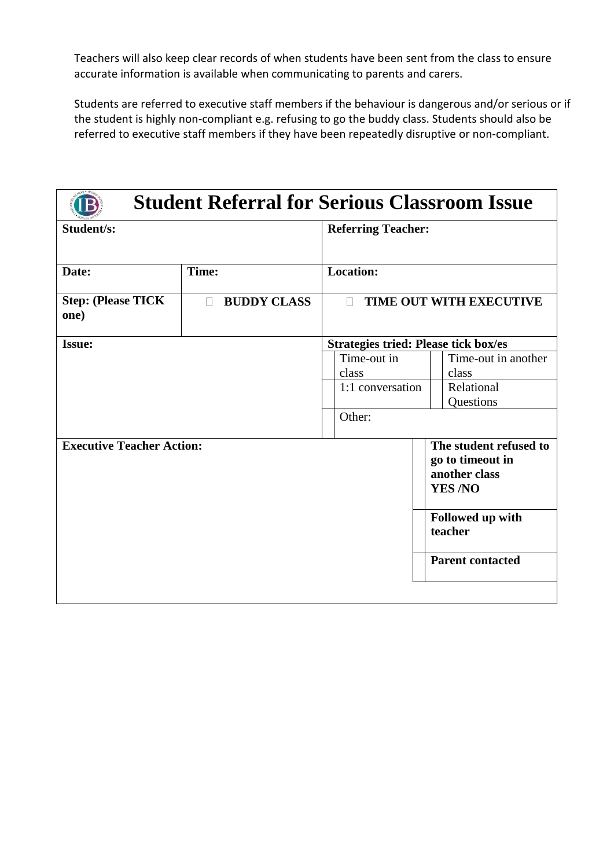Teachers will also keep clear records of when students have been sent from the class to ensure accurate information is available when communicating to parents and carers.

Students are referred to executive staff members if the behaviour is dangerous and/or serious or if the student is highly non-compliant e.g. refusing to go the buddy class. Students should also be referred to executive staff members if they have been repeatedly disruptive or non-compliant.

| <b>Student Referral for Serious Classroom Issue</b> |                              |                                             |                                                                              |
|-----------------------------------------------------|------------------------------|---------------------------------------------|------------------------------------------------------------------------------|
| Student/s:                                          |                              | <b>Referring Teacher:</b>                   |                                                                              |
| Date:                                               | Time:                        | <b>Location:</b>                            |                                                                              |
| <b>Step: (Please TICK</b><br>one)                   | <b>BUDDY CLASS</b><br>$\Box$ | $\Box$                                      | TIME OUT WITH EXECUTIVE                                                      |
| <b>Issue:</b>                                       |                              | <b>Strategies tried: Please tick box/es</b> |                                                                              |
|                                                     |                              | Time-out in<br>class                        | Time-out in another<br>class                                                 |
|                                                     |                              | 1:1 conversation                            | Relational<br>Questions                                                      |
|                                                     |                              | Other:                                      |                                                                              |
| <b>Executive Teacher Action:</b>                    |                              |                                             | The student refused to<br>go to timeout in<br>another class<br><b>YES/NO</b> |
|                                                     |                              |                                             | Followed up with<br>teacher                                                  |
|                                                     |                              |                                             | <b>Parent contacted</b>                                                      |
|                                                     |                              |                                             |                                                                              |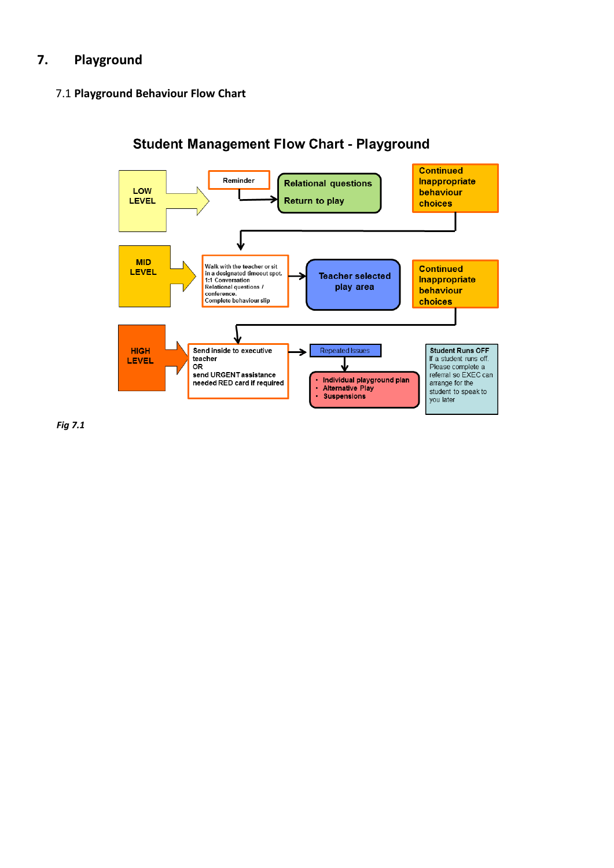# **7. Playground**

#### 7.1 **Playground Behaviour Flow Chart**



**Student Management Flow Chart - Playground** 

*Fig 7.1*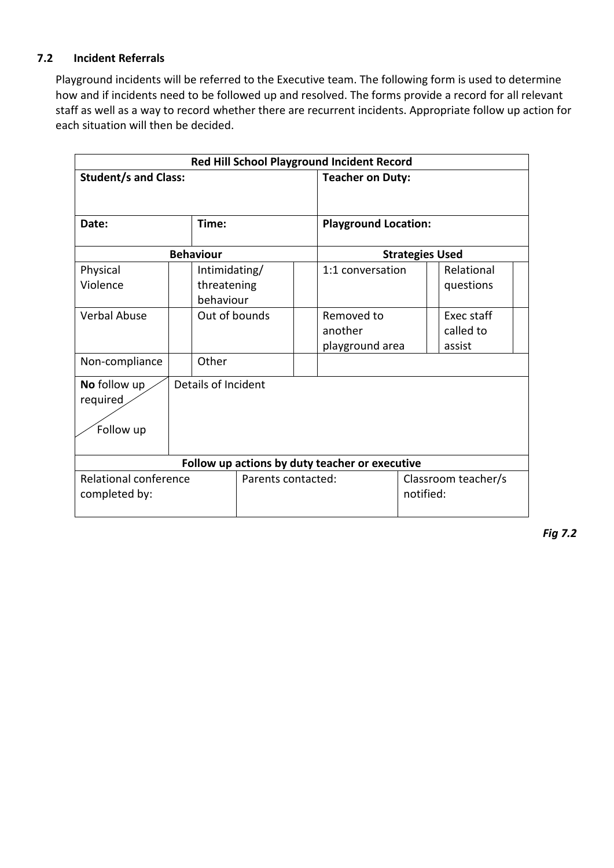#### **7.2 Incident Referrals**

Playground incidents will be referred to the Executive team. The following form is used to determine how and if incidents need to be followed up and resolved. The forms provide a record for all relevant staff as well as a way to record whether there are recurrent incidents. Appropriate follow up action for each situation will then be decided.

| Red Hill School Playground Incident Record                          |                                           |               |                        |                                          |  |                                   |  |
|---------------------------------------------------------------------|-------------------------------------------|---------------|------------------------|------------------------------------------|--|-----------------------------------|--|
| <b>Student/s and Class:</b>                                         |                                           |               |                        | <b>Teacher on Duty:</b>                  |  |                                   |  |
|                                                                     |                                           |               |                        |                                          |  |                                   |  |
| Date:                                                               | Time:                                     |               |                        | <b>Playground Location:</b>              |  |                                   |  |
| <b>Behaviour</b>                                                    |                                           |               | <b>Strategies Used</b> |                                          |  |                                   |  |
| Physical<br>Violence                                                | Intimidating/<br>threatening<br>behaviour |               |                        | 1:1 conversation                         |  | Relational<br>questions           |  |
| Verbal Abuse                                                        |                                           | Out of bounds |                        | Removed to<br>another<br>playground area |  | Exec staff<br>called to<br>assist |  |
| Non-compliance                                                      | Other                                     |               |                        |                                          |  |                                   |  |
| Details of Incident<br>No follow up<br>required<br>Follow up        |                                           |               |                        |                                          |  |                                   |  |
| Follow up actions by duty teacher or executive                      |                                           |               |                        |                                          |  |                                   |  |
| <b>Relational conference</b><br>Parents contacted:<br>completed by: |                                           |               |                        | Classroom teacher/s<br>notified:         |  |                                   |  |

*Fig 7.2*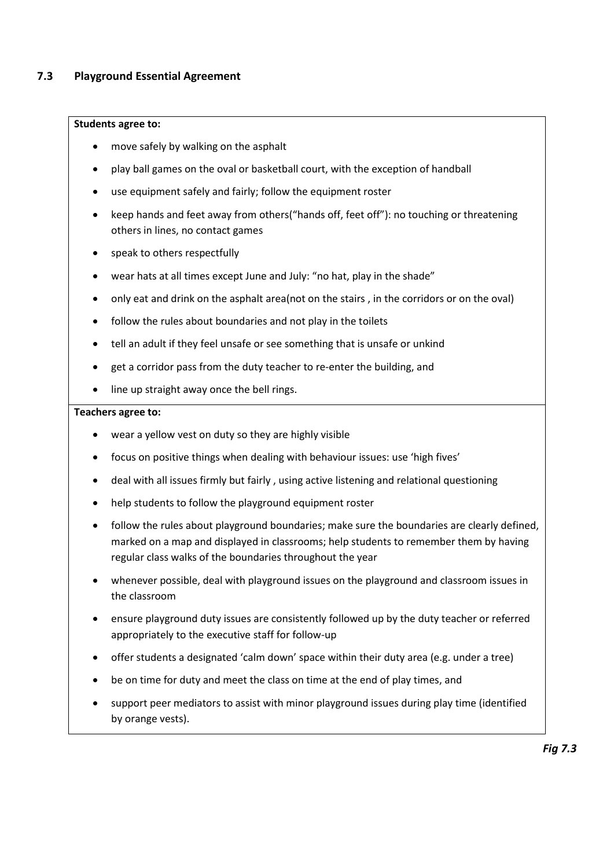#### **Students agree to:**

- move safely by walking on the asphalt
- play ball games on the oval or basketball court, with the exception of handball
- use equipment safely and fairly; follow the equipment roster
- keep hands and feet away from others("hands off, feet off"): no touching or threatening others in lines, no contact games
- speak to others respectfully
- wear hats at all times except June and July: "no hat, play in the shade"
- only eat and drink on the asphalt area(not on the stairs , in the corridors or on the oval)
- follow the rules about boundaries and not play in the toilets
- tell an adult if they feel unsafe or see something that is unsafe or unkind
- get a corridor pass from the duty teacher to re-enter the building, and
- line up straight away once the bell rings.

#### **Teachers agree to:**

- wear a yellow vest on duty so they are highly visible
- focus on positive things when dealing with behaviour issues: use 'high fives'
- deal with all issues firmly but fairly , using active listening and relational questioning
- help students to follow the playground equipment roster
- follow the rules about playground boundaries; make sure the boundaries are clearly defined, marked on a map and displayed in classrooms; help students to remember them by having regular class walks of the boundaries throughout the year
- whenever possible, deal with playground issues on the playground and classroom issues in the classroom
- ensure playground duty issues are consistently followed up by the duty teacher or referred appropriately to the executive staff for follow-up
- offer students a designated 'calm down' space within their duty area (e.g. under a tree)
- be on time for duty and meet the class on time at the end of play times, and
- support peer mediators to assist with minor playground issues during play time (identified by orange vests).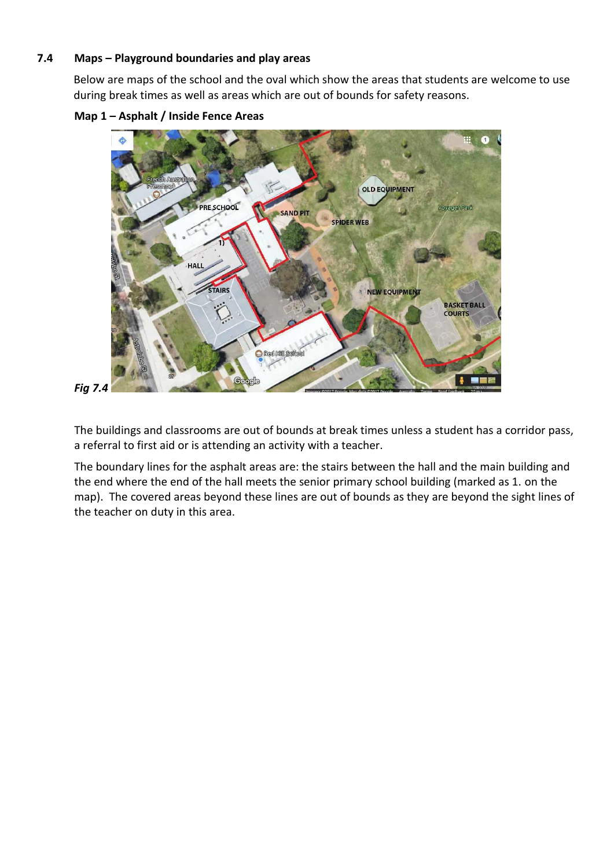#### **7.4 Maps – Playground boundaries and play areas**

Below are maps of the school and the oval which show the areas that students are welcome to use during break times as well as areas which are out of bounds for safety reasons.





*Fig 7.4*

The buildings and classrooms are out of bounds at break times unless a student has a corridor pass, a referral to first aid or is attending an activity with a teacher.

The boundary lines for the asphalt areas are: the stairs between the hall and the main building and the end where the end of the hall meets the senior primary school building (marked as 1. on the map). The covered areas beyond these lines are out of bounds as they are beyond the sight lines of the teacher on duty in this area.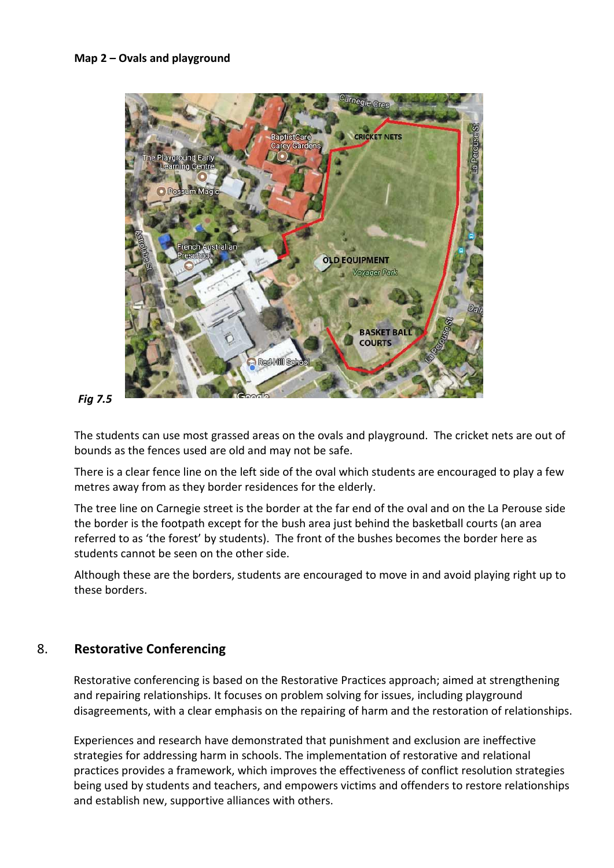

#### *Fig 7.5*

The students can use most grassed areas on the ovals and playground. The cricket nets are out of bounds as the fences used are old and may not be safe.

There is a clear fence line on the left side of the oval which students are encouraged to play a few metres away from as they border residences for the elderly.

The tree line on Carnegie street is the border at the far end of the oval and on the La Perouse side the border is the footpath except for the bush area just behind the basketball courts (an area referred to as 'the forest' by students). The front of the bushes becomes the border here as students cannot be seen on the other side.

Although these are the borders, students are encouraged to move in and avoid playing right up to these borders.

## 8. **Restorative Conferencing**

Restorative conferencing is based on the Restorative Practices approach; aimed at strengthening and repairing relationships. It focuses on problem solving for issues, including playground disagreements, with a clear emphasis on the repairing of harm and the restoration of relationships.

Experiences and research have demonstrated that punishment and exclusion are ineffective strategies for addressing harm in schools. The implementation of restorative and relational practices provides a framework, which improves the effectiveness of conflict resolution strategies being used by students and teachers, and empowers victims and offenders to restore relationships and establish new, supportive alliances with others.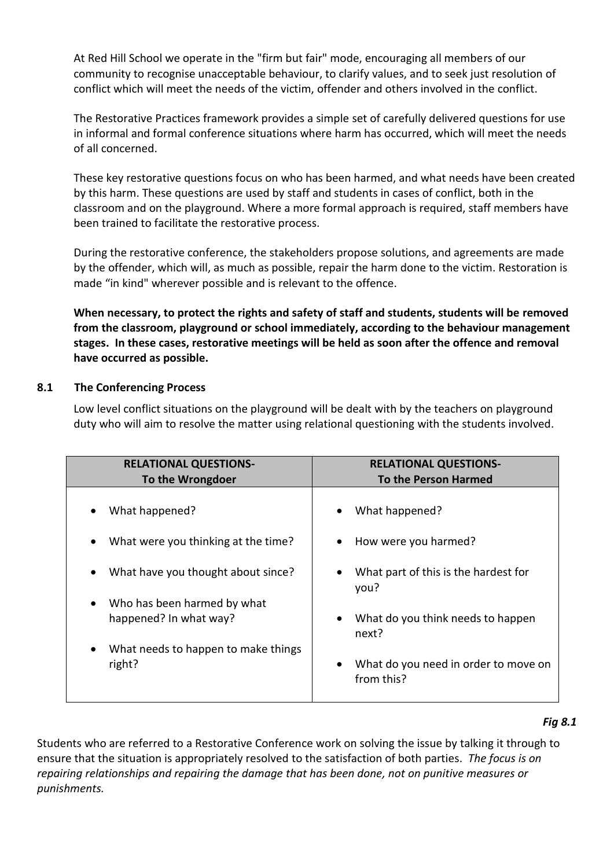At Red Hill School we operate in the "firm but fair" mode, encouraging all members of our community to recognise unacceptable behaviour, to clarify values, and to seek just resolution of conflict which will meet the needs of the victim, offender and others involved in the conflict.

The Restorative Practices framework provides a simple set of carefully delivered questions for use in informal and formal conference situations where harm has occurred, which will meet the needs of all concerned.

These key restorative questions focus on who has been harmed, and what needs have been created by this harm. These questions are used by staff and students in cases of conflict, both in the classroom and on the playground. Where a more formal approach is required, staff members have been trained to facilitate the restorative process.

During the restorative conference, the stakeholders propose solutions, and agreements are made by the offender, which will, as much as possible, repair the harm done to the victim. Restoration is made "in kind" wherever possible and is relevant to the offence.

**When necessary, to protect the rights and safety of staff and students, students will be removed from the classroom, playground or school immediately, according to the behaviour management stages. In these cases, restorative meetings will be held as soon after the offence and removal have occurred as possible.**

#### **8.1 The Conferencing Process**

Low level conflict situations on the playground will be dealt with by the teachers on playground duty who will aim to resolve the matter using relational questioning with the students involved.

| <b>RELATIONAL QUESTIONS-</b>        | <b>RELATIONAL QUESTIONS-</b>                              |
|-------------------------------------|-----------------------------------------------------------|
| To the Wrongdoer                    | <b>To the Person Harmed</b>                               |
| What happened?                      | What happened?                                            |
| What were you thinking at the time? | How were you harmed?                                      |
| What have you thought about since?  | What part of this is the hardest for<br>$\bullet$<br>you? |
| Who has been harmed by what         | What do you think needs to happen                         |
| $\bullet$                           | $\bullet$                                                 |
| happened? In what way?              | next?                                                     |
| What needs to happen to make things | What do you need in order to move on                      |
| $\bullet$                           | $\bullet$                                                 |
| right?                              | from this?                                                |

#### *Fig 8.1*

Students who are referred to a Restorative Conference work on solving the issue by talking it through to ensure that the situation is appropriately resolved to the satisfaction of both parties. *The focus is on repairing relationships and repairing the damage that has been done, not on punitive measures or punishments.*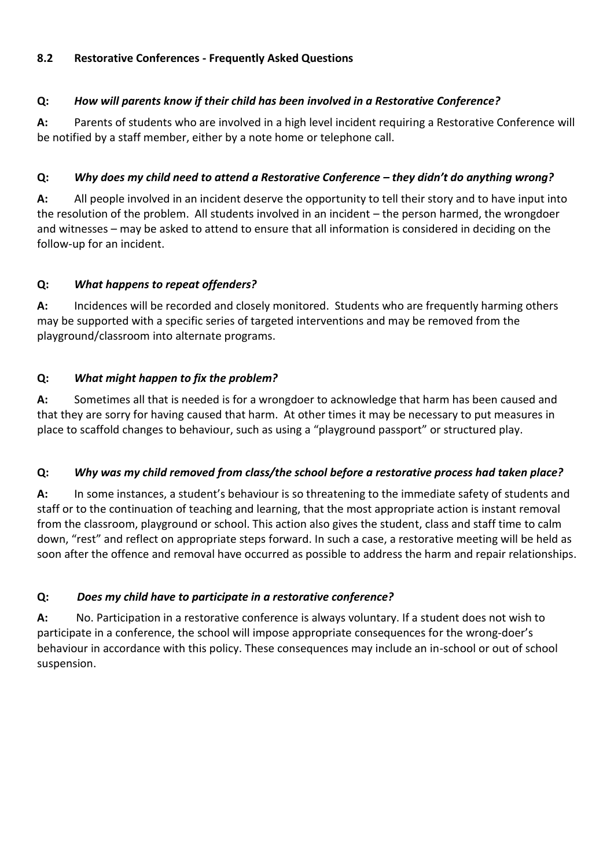### **8.2 Restorative Conferences - Frequently Asked Questions**

## **Q:** *How will parents know if their child has been involved in a Restorative Conference?*

**A:** Parents of students who are involved in a high level incident requiring a Restorative Conference will be notified by a staff member, either by a note home or telephone call.

## **Q:** *Why does my child need to attend a Restorative Conference – they didn't do anything wrong?*

**A:** All people involved in an incident deserve the opportunity to tell their story and to have input into the resolution of the problem. All students involved in an incident – the person harmed, the wrongdoer and witnesses – may be asked to attend to ensure that all information is considered in deciding on the follow-up for an incident.

## **Q:** *What happens to repeat offenders?*

**A:** Incidences will be recorded and closely monitored. Students who are frequently harming others may be supported with a specific series of targeted interventions and may be removed from the playground/classroom into alternate programs.

## **Q:** *What might happen to fix the problem?*

**A:** Sometimes all that is needed is for a wrongdoer to acknowledge that harm has been caused and that they are sorry for having caused that harm. At other times it may be necessary to put measures in place to scaffold changes to behaviour, such as using a "playground passport" or structured play.

#### **Q:** *Why was my child removed from class/the school before a restorative process had taken place?*

**A:** In some instances, a student's behaviour is so threatening to the immediate safety of students and staff or to the continuation of teaching and learning, that the most appropriate action is instant removal from the classroom, playground or school. This action also gives the student, class and staff time to calm down, "rest" and reflect on appropriate steps forward. In such a case, a restorative meeting will be held as soon after the offence and removal have occurred as possible to address the harm and repair relationships.

## **Q:** *Does my child have to participate in a restorative conference?*

**A:** No. Participation in a restorative conference is always voluntary. If a student does not wish to participate in a conference, the school will impose appropriate consequences for the wrong-doer's behaviour in accordance with this policy. These consequences may include an in-school or out of school suspension.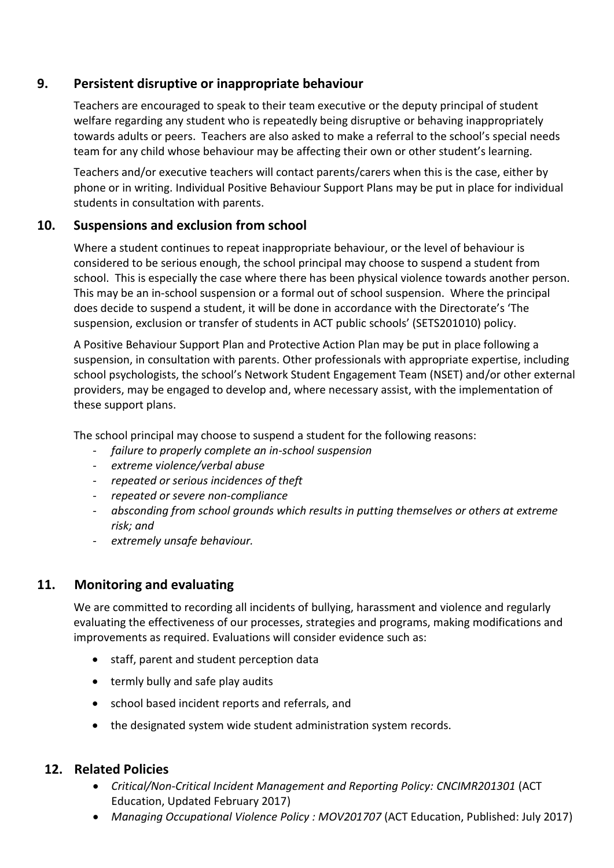# **9. Persistent disruptive or inappropriate behaviour**

Teachers are encouraged to speak to their team executive or the deputy principal of student welfare regarding any student who is repeatedly being disruptive or behaving inappropriately towards adults or peers. Teachers are also asked to make a referral to the school's special needs team for any child whose behaviour may be affecting their own or other student's learning.

Teachers and/or executive teachers will contact parents/carers when this is the case, either by phone or in writing. Individual Positive Behaviour Support Plans may be put in place for individual students in consultation with parents.

## **10. Suspensions and exclusion from school**

Where a student continues to repeat inappropriate behaviour, or the level of behaviour is considered to be serious enough, the school principal may choose to suspend a student from school. This is especially the case where there has been physical violence towards another person. This may be an in-school suspension or a formal out of school suspension. Where the principal does decide to suspend a student, it will be done in accordance with the Directorate's 'The suspension, exclusion or transfer of students in ACT public schools' (SETS201010) policy.

A Positive Behaviour Support Plan and Protective Action Plan may be put in place following a suspension, in consultation with parents. Other professionals with appropriate expertise, including school psychologists, the school's Network Student Engagement Team (NSET) and/or other external providers, may be engaged to develop and, where necessary assist, with the implementation of these support plans.

The school principal may choose to suspend a student for the following reasons:

- *failure to properly complete an in-school suspension*
- *extreme violence/verbal abuse*
- *repeated or serious incidences of theft*
- *repeated or severe non-compliance*
- *absconding from school grounds which results in putting themselves or others at extreme risk; and*
- *extremely unsafe behaviour.*

# **11. Monitoring and evaluating**

We are committed to recording all incidents of bullying, harassment and violence and regularly evaluating the effectiveness of our processes, strategies and programs, making modifications and improvements as required. Evaluations will consider evidence such as:

- staff, parent and student perception data
- termly bully and safe play audits
- school based incident reports and referrals, and
- the designated system wide student administration system records.

## **12. Related Policies**

- *Critical/Non-Critical Incident Management and Reporting Policy: CNCIMR201301* (ACT Education, Updated February 2017)
- *Managing Occupational Violence Policy : MOV201707* (ACT Education, Published: July 2017)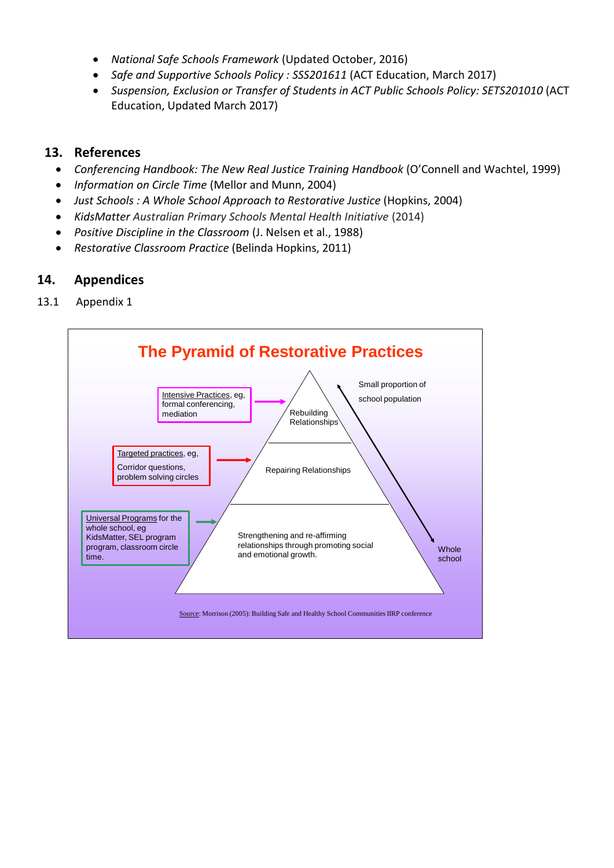- *National Safe Schools Framework* (Updated October, 2016)
- *Safe and Supportive Schools Policy : SSS201611* (ACT Education, March 2017)
- *Suspension, Exclusion or Transfer of Students in ACT Public Schools Policy: SETS201010* (ACT Education, Updated March 2017)

# **13. References**

- *Conferencing Handbook: The New Real Justice Training Handbook* (O'Connell and Wachtel, 1999)
- *Information on Circle Time* (Mellor and Munn, 2004)
- *Just Schools : A Whole School Approach to Restorative Justice* (Hopkins, 2004)
- *KidsMatter Australian Primary Schools Mental Health Initiative* (2014)
- *Positive Discipline in the Classroom* (J. Nelsen et al., 1988)
- *Restorative Classroom Practice* (Belinda Hopkins, 2011)

# **14. Appendices**

13.1 Appendix 1

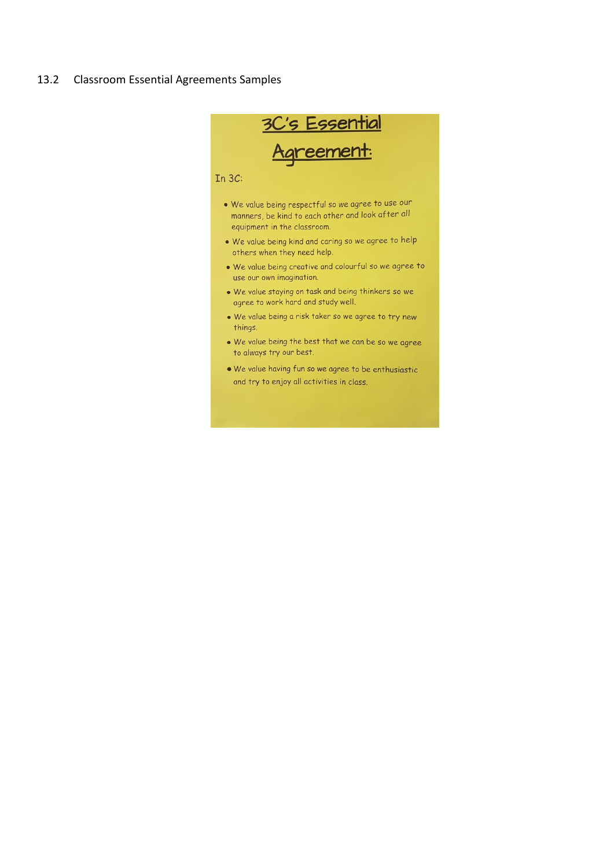#### 13.2 Classroom Essential Agreements Samples



and try to enjoy all activities in class.